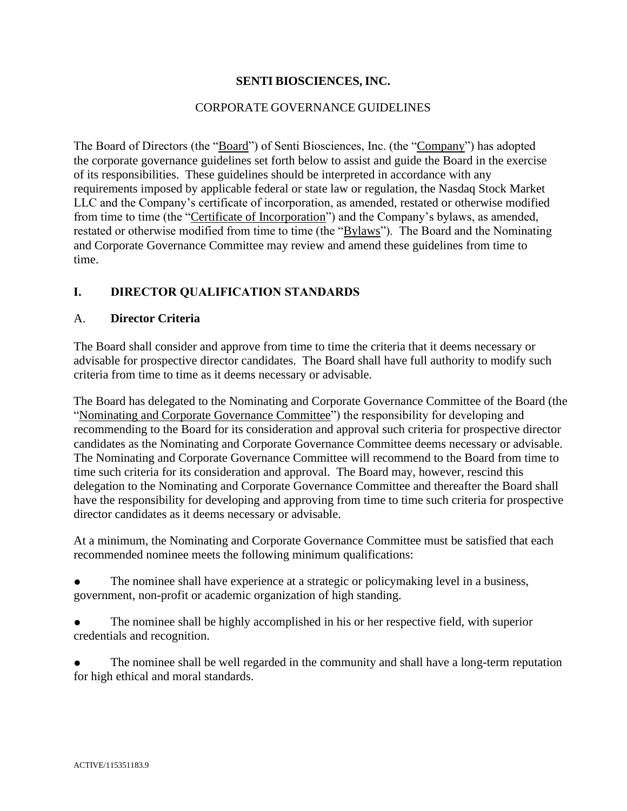### **SENTI BIOSCIENCES, INC.**

### CORPORATE GOVERNANCE GUIDELINES

The Board of Directors (the "Board") of Senti Biosciences, Inc. (the "Company") has adopted the corporate governance guidelines set forth below to assist and guide the Board in the exercise of its responsibilities. These guidelines should be interpreted in accordance with any requirements imposed by applicable federal or state law or regulation, the Nasdaq Stock Market LLC and the Company's certificate of incorporation, as amended, restated or otherwise modified from time to time (the "Certificate of Incorporation") and the Company's bylaws, as amended, restated or otherwise modified from time to time (the "Bylaws"). The Board and the Nominating and Corporate Governance Committee may review and amend these guidelines from time to time.

### **I. DIRECTOR QUALIFICATION STANDARDS**

#### A. **Director Criteria**

The Board shall consider and approve from time to time the criteria that it deems necessary or advisable for prospective director candidates. The Board shall have full authority to modify such criteria from time to time as it deems necessary or advisable.

The Board has delegated to the Nominating and Corporate Governance Committee of the Board (the "Nominating and Corporate Governance Committee") the responsibility for developing and recommending to the Board for its consideration and approval such criteria for prospective director candidates as the Nominating and Corporate Governance Committee deems necessary or advisable. The Nominating and Corporate Governance Committee will recommend to the Board from time to time such criteria for its consideration and approval. The Board may, however, rescind this delegation to the Nominating and Corporate Governance Committee and thereafter the Board shall have the responsibility for developing and approving from time to time such criteria for prospective director candidates as it deems necessary or advisable.

At a minimum, the Nominating and Corporate Governance Committee must be satisfied that each recommended nominee meets the following minimum qualifications:

The nominee shall have experience at a strategic or policymaking level in a business, government, non-profit or academic organization of high standing.

The nominee shall be highly accomplished in his or her respective field, with superior credentials and recognition.

The nominee shall be well regarded in the community and shall have a long-term reputation for high ethical and moral standards.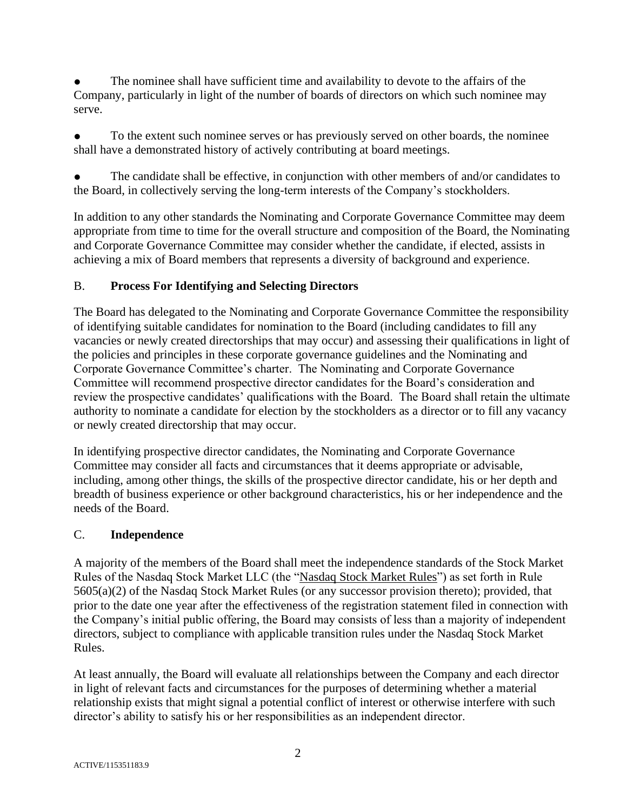The nominee shall have sufficient time and availability to devote to the affairs of the Company, particularly in light of the number of boards of directors on which such nominee may serve.

To the extent such nominee serves or has previously served on other boards, the nominee shall have a demonstrated history of actively contributing at board meetings.

The candidate shall be effective, in conjunction with other members of and/or candidates to the Board, in collectively serving the long-term interests of the Company's stockholders.

In addition to any other standards the Nominating and Corporate Governance Committee may deem appropriate from time to time for the overall structure and composition of the Board, the Nominating and Corporate Governance Committee may consider whether the candidate, if elected, assists in achieving a mix of Board members that represents a diversity of background and experience.

# B. **Process For Identifying and Selecting Directors**

The Board has delegated to the Nominating and Corporate Governance Committee the responsibility of identifying suitable candidates for nomination to the Board (including candidates to fill any vacancies or newly created directorships that may occur) and assessing their qualifications in light of the policies and principles in these corporate governance guidelines and the Nominating and Corporate Governance Committee's charter. The Nominating and Corporate Governance Committee will recommend prospective director candidates for the Board's consideration and review the prospective candidates' qualifications with the Board. The Board shall retain the ultimate authority to nominate a candidate for election by the stockholders as a director or to fill any vacancy or newly created directorship that may occur.

In identifying prospective director candidates, the Nominating and Corporate Governance Committee may consider all facts and circumstances that it deems appropriate or advisable, including, among other things, the skills of the prospective director candidate, his or her depth and breadth of business experience or other background characteristics, his or her independence and the needs of the Board.

## C. **Independence**

A majority of the members of the Board shall meet the independence standards of the Stock Market Rules of the Nasdaq Stock Market LLC (the "Nasdaq Stock Market Rules") as set forth in Rule 5605(a)(2) of the Nasdaq Stock Market Rules (or any successor provision thereto); provided, that prior to the date one year after the effectiveness of the registration statement filed in connection with the Company's initial public offering, the Board may consists of less than a majority of independent directors, subject to compliance with applicable transition rules under the Nasdaq Stock Market Rules.

At least annually, the Board will evaluate all relationships between the Company and each director in light of relevant facts and circumstances for the purposes of determining whether a material relationship exists that might signal a potential conflict of interest or otherwise interfere with such director's ability to satisfy his or her responsibilities as an independent director.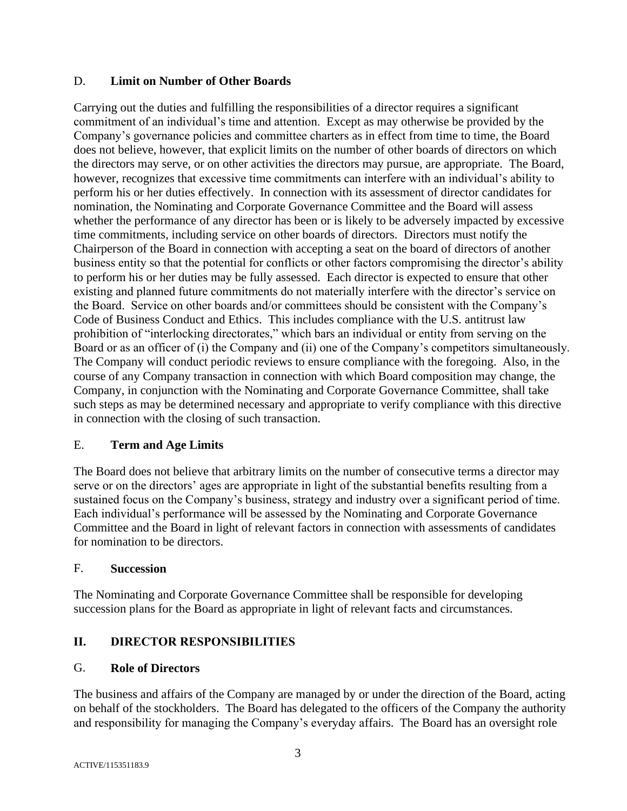### D. **Limit on Number of Other Boards**

Carrying out the duties and fulfilling the responsibilities of a director requires a significant commitment of an individual's time and attention. Except as may otherwise be provided by the Company's governance policies and committee charters as in effect from time to time, the Board does not believe, however, that explicit limits on the number of other boards of directors on which the directors may serve, or on other activities the directors may pursue, are appropriate. The Board, however, recognizes that excessive time commitments can interfere with an individual's ability to perform his or her duties effectively. In connection with its assessment of director candidates for nomination, the Nominating and Corporate Governance Committee and the Board will assess whether the performance of any director has been or is likely to be adversely impacted by excessive time commitments, including service on other boards of directors. Directors must notify the Chairperson of the Board in connection with accepting a seat on the board of directors of another business entity so that the potential for conflicts or other factors compromising the director's ability to perform his or her duties may be fully assessed. Each director is expected to ensure that other existing and planned future commitments do not materially interfere with the director's service on the Board. Service on other boards and/or committees should be consistent with the Company's Code of Business Conduct and Ethics. This includes compliance with the U.S. antitrust law prohibition of "interlocking directorates," which bars an individual or entity from serving on the Board or as an officer of (i) the Company and (ii) one of the Company's competitors simultaneously. The Company will conduct periodic reviews to ensure compliance with the foregoing. Also, in the course of any Company transaction in connection with which Board composition may change, the Company, in conjunction with the Nominating and Corporate Governance Committee, shall take such steps as may be determined necessary and appropriate to verify compliance with this directive in connection with the closing of such transaction.

## E. **Term and Age Limits**

The Board does not believe that arbitrary limits on the number of consecutive terms a director may serve or on the directors' ages are appropriate in light of the substantial benefits resulting from a sustained focus on the Company's business, strategy and industry over a significant period of time. Each individual's performance will be assessed by the Nominating and Corporate Governance Committee and the Board in light of relevant factors in connection with assessments of candidates for nomination to be directors.

### F. **Succession**

The Nominating and Corporate Governance Committee shall be responsible for developing succession plans for the Board as appropriate in light of relevant facts and circumstances.

## **II. DIRECTOR RESPONSIBILITIES**

### G. **Role of Directors**

The business and affairs of the Company are managed by or under the direction of the Board, acting on behalf of the stockholders. The Board has delegated to the officers of the Company the authority and responsibility for managing the Company's everyday affairs. The Board has an oversight role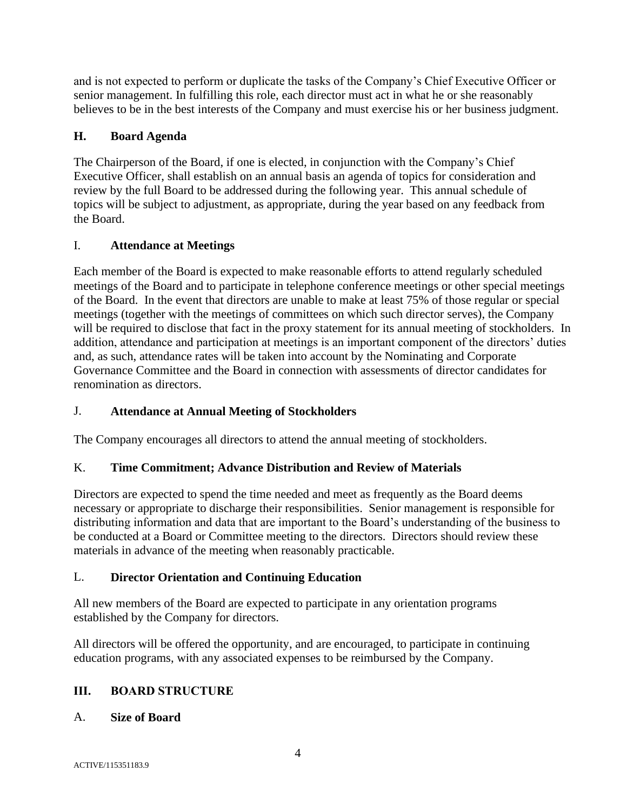and is not expected to perform or duplicate the tasks of the Company's Chief Executive Officer or senior management. In fulfilling this role, each director must act in what he or she reasonably believes to be in the best interests of the Company and must exercise his or her business judgment.

## **H. Board Agenda**

The Chairperson of the Board, if one is elected, in conjunction with the Company's Chief Executive Officer, shall establish on an annual basis an agenda of topics for consideration and review by the full Board to be addressed during the following year. This annual schedule of topics will be subject to adjustment, as appropriate, during the year based on any feedback from the Board.

## I. **Attendance at Meetings**

Each member of the Board is expected to make reasonable efforts to attend regularly scheduled meetings of the Board and to participate in telephone conference meetings or other special meetings of the Board. In the event that directors are unable to make at least 75% of those regular or special meetings (together with the meetings of committees on which such director serves), the Company will be required to disclose that fact in the proxy statement for its annual meeting of stockholders. In addition, attendance and participation at meetings is an important component of the directors' duties and, as such, attendance rates will be taken into account by the Nominating and Corporate Governance Committee and the Board in connection with assessments of director candidates for renomination as directors.

# J. **Attendance at Annual Meeting of Stockholders**

The Company encourages all directors to attend the annual meeting of stockholders.

# K. **Time Commitment; Advance Distribution and Review of Materials**

Directors are expected to spend the time needed and meet as frequently as the Board deems necessary or appropriate to discharge their responsibilities. Senior management is responsible for distributing information and data that are important to the Board's understanding of the business to be conducted at a Board or Committee meeting to the directors. Directors should review these materials in advance of the meeting when reasonably practicable.

## L. **Director Orientation and Continuing Education**

All new members of the Board are expected to participate in any orientation programs established by the Company for directors.

All directors will be offered the opportunity, and are encouraged, to participate in continuing education programs, with any associated expenses to be reimbursed by the Company.

## **III. BOARD STRUCTURE**

## A. **Size of Board**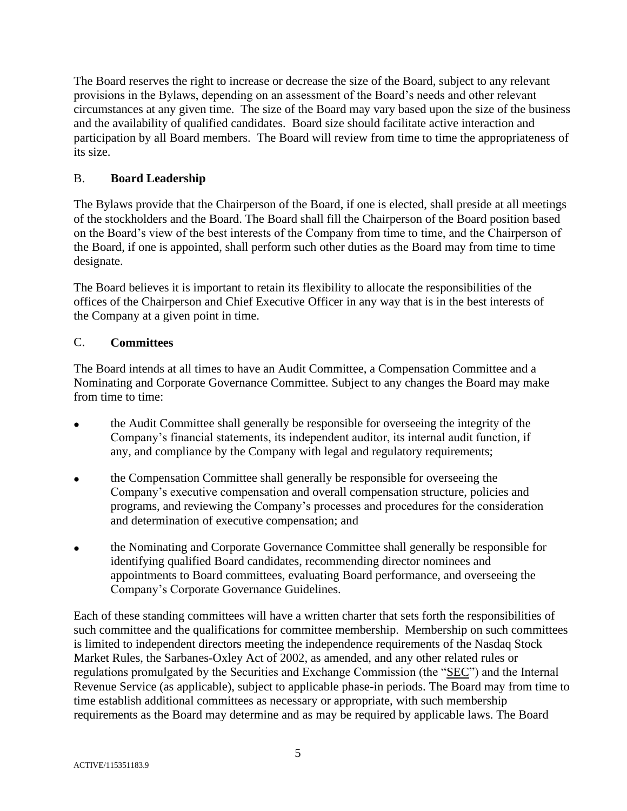The Board reserves the right to increase or decrease the size of the Board, subject to any relevant provisions in the Bylaws, depending on an assessment of the Board's needs and other relevant circumstances at any given time. The size of the Board may vary based upon the size of the business and the availability of qualified candidates. Board size should facilitate active interaction and participation by all Board members. The Board will review from time to time the appropriateness of its size.

## B. **Board Leadership**

The Bylaws provide that the Chairperson of the Board, if one is elected, shall preside at all meetings of the stockholders and the Board. The Board shall fill the Chairperson of the Board position based on the Board's view of the best interests of the Company from time to time, and the Chairperson of the Board, if one is appointed, shall perform such other duties as the Board may from time to time designate.

The Board believes it is important to retain its flexibility to allocate the responsibilities of the offices of the Chairperson and Chief Executive Officer in any way that is in the best interests of the Company at a given point in time.

# C. **Committees**

The Board intends at all times to have an Audit Committee, a Compensation Committee and a Nominating and Corporate Governance Committee. Subject to any changes the Board may make from time to time:

- the Audit Committee shall generally be responsible for overseeing the integrity of the Company's financial statements, its independent auditor, its internal audit function, if any, and compliance by the Company with legal and regulatory requirements;
- the Compensation Committee shall generally be responsible for overseeing the Company's executive compensation and overall compensation structure, policies and programs, and reviewing the Company's processes and procedures for the consideration and determination of executive compensation; and
- the Nominating and Corporate Governance Committee shall generally be responsible for identifying qualified Board candidates, recommending director nominees and appointments to Board committees, evaluating Board performance, and overseeing the Company's Corporate Governance Guidelines.

Each of these standing committees will have a written charter that sets forth the responsibilities of such committee and the qualifications for committee membership. Membership on such committees is limited to independent directors meeting the independence requirements of the Nasdaq Stock Market Rules, the Sarbanes-Oxley Act of 2002, as amended, and any other related rules or regulations promulgated by the Securities and Exchange Commission (the "SEC") and the Internal Revenue Service (as applicable), subject to applicable phase-in periods. The Board may from time to time establish additional committees as necessary or appropriate, with such membership requirements as the Board may determine and as may be required by applicable laws. The Board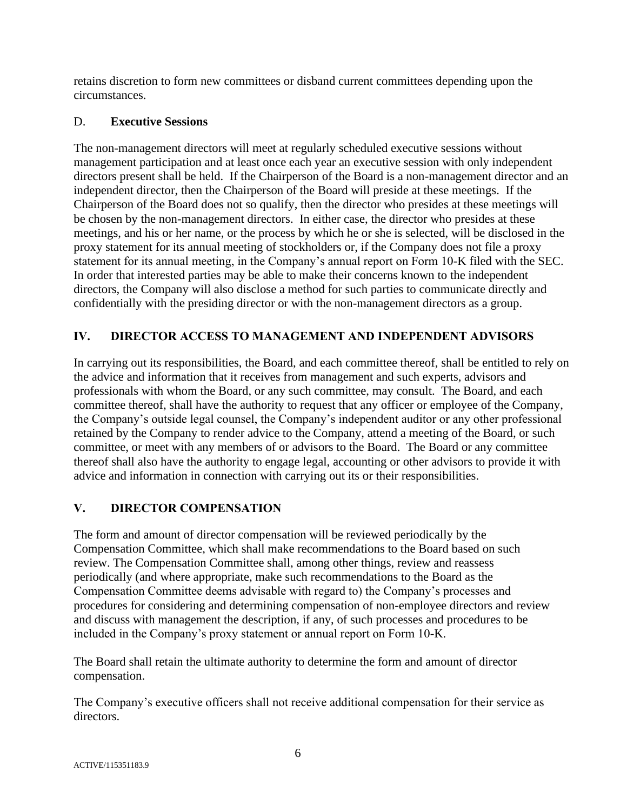retains discretion to form new committees or disband current committees depending upon the circumstances.

### D. **Executive Sessions**

The non-management directors will meet at regularly scheduled executive sessions without management participation and at least once each year an executive session with only independent directors present shall be held. If the Chairperson of the Board is a non-management director and an independent director, then the Chairperson of the Board will preside at these meetings. If the Chairperson of the Board does not so qualify, then the director who presides at these meetings will be chosen by the non-management directors. In either case, the director who presides at these meetings, and his or her name, or the process by which he or she is selected, will be disclosed in the proxy statement for its annual meeting of stockholders or, if the Company does not file a proxy statement for its annual meeting, in the Company's annual report on Form 10-K filed with the SEC. In order that interested parties may be able to make their concerns known to the independent directors, the Company will also disclose a method for such parties to communicate directly and confidentially with the presiding director or with the non-management directors as a group.

# **IV. DIRECTOR ACCESS TO MANAGEMENT AND INDEPENDENT ADVISORS**

In carrying out its responsibilities, the Board, and each committee thereof, shall be entitled to rely on the advice and information that it receives from management and such experts, advisors and professionals with whom the Board, or any such committee, may consult. The Board, and each committee thereof, shall have the authority to request that any officer or employee of the Company, the Company's outside legal counsel, the Company's independent auditor or any other professional retained by the Company to render advice to the Company, attend a meeting of the Board, or such committee, or meet with any members of or advisors to the Board. The Board or any committee thereof shall also have the authority to engage legal, accounting or other advisors to provide it with advice and information in connection with carrying out its or their responsibilities.

## **V. DIRECTOR COMPENSATION**

The form and amount of director compensation will be reviewed periodically by the Compensation Committee, which shall make recommendations to the Board based on such review. The Compensation Committee shall, among other things, review and reassess periodically (and where appropriate, make such recommendations to the Board as the Compensation Committee deems advisable with regard to) the Company's processes and procedures for considering and determining compensation of non-employee directors and review and discuss with management the description, if any, of such processes and procedures to be included in the Company's proxy statement or annual report on Form 10-K.

The Board shall retain the ultimate authority to determine the form and amount of director compensation.

The Company's executive officers shall not receive additional compensation for their service as directors.